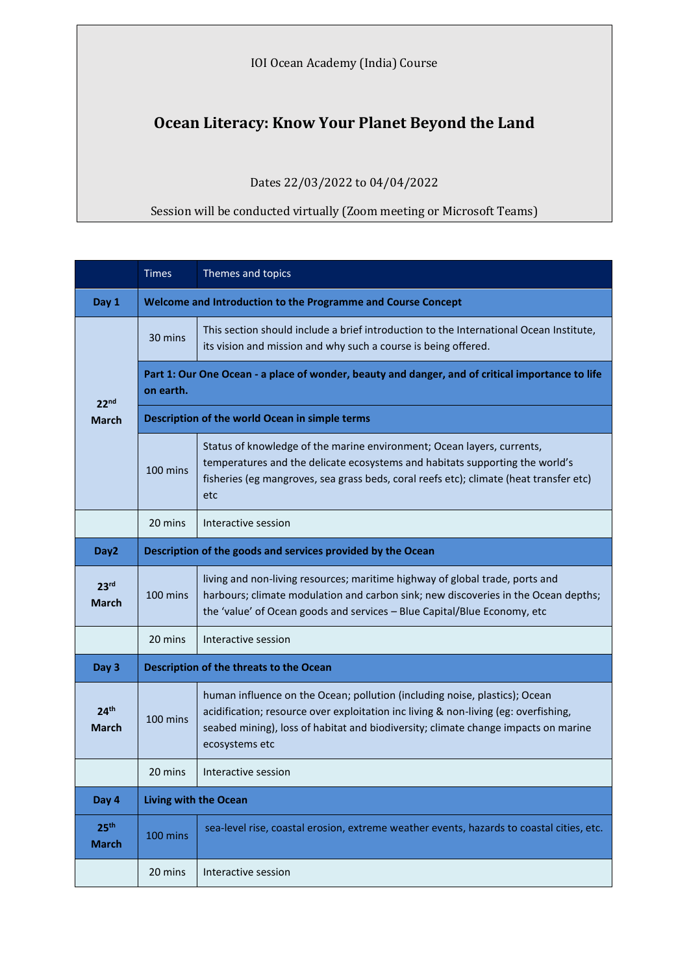IOI Ocean Academy (India) Course

## **Ocean Literacy: Know Your Planet Beyond the Land**

Dates 22/03/2022 to 04/04/2022

## Session will be conducted virtually (Zoom meeting or Microsoft Teams)

|                                  | <b>Times</b>                                                                                                  | Themes and topics                                                                                                                                                                                                                                                         |  |
|----------------------------------|---------------------------------------------------------------------------------------------------------------|---------------------------------------------------------------------------------------------------------------------------------------------------------------------------------------------------------------------------------------------------------------------------|--|
| Day 1                            | Welcome and Introduction to the Programme and Course Concept                                                  |                                                                                                                                                                                                                                                                           |  |
| 22 <sup>nd</sup><br><b>March</b> | 30 mins                                                                                                       | This section should include a brief introduction to the International Ocean Institute,<br>its vision and mission and why such a course is being offered.                                                                                                                  |  |
|                                  | Part 1: Our One Ocean - a place of wonder, beauty and danger, and of critical importance to life<br>on earth. |                                                                                                                                                                                                                                                                           |  |
|                                  | Description of the world Ocean in simple terms                                                                |                                                                                                                                                                                                                                                                           |  |
|                                  | 100 mins                                                                                                      | Status of knowledge of the marine environment; Ocean layers, currents,<br>temperatures and the delicate ecosystems and habitats supporting the world's<br>fisheries (eg mangroves, sea grass beds, coral reefs etc); climate (heat transfer etc)<br>etc                   |  |
|                                  | 20 mins                                                                                                       | Interactive session                                                                                                                                                                                                                                                       |  |
| Day <sub>2</sub>                 | Description of the goods and services provided by the Ocean                                                   |                                                                                                                                                                                                                                                                           |  |
| 23 <sup>rd</sup><br>March        | 100 mins                                                                                                      | living and non-living resources; maritime highway of global trade, ports and<br>harbours; climate modulation and carbon sink; new discoveries in the Ocean depths;<br>the 'value' of Ocean goods and services - Blue Capital/Blue Economy, etc                            |  |
|                                  | 20 mins                                                                                                       | Interactive session                                                                                                                                                                                                                                                       |  |
| Day 3                            | Description of the threats to the Ocean                                                                       |                                                                                                                                                                                                                                                                           |  |
| 24 <sup>th</sup><br><b>March</b> | 100 mins                                                                                                      | human influence on the Ocean; pollution (including noise, plastics); Ocean<br>acidification; resource over exploitation inc living & non-living (eg: overfishing,<br>seabed mining), loss of habitat and biodiversity; climate change impacts on marine<br>ecosystems etc |  |
|                                  | 20 mins                                                                                                       | Interactive session                                                                                                                                                                                                                                                       |  |
| Day 4                            | <b>Living with the Ocean</b>                                                                                  |                                                                                                                                                                                                                                                                           |  |
| 25 <sup>th</sup><br><b>March</b> | 100 mins                                                                                                      | sea-level rise, coastal erosion, extreme weather events, hazards to coastal cities, etc.                                                                                                                                                                                  |  |
|                                  | 20 mins                                                                                                       | Interactive session                                                                                                                                                                                                                                                       |  |